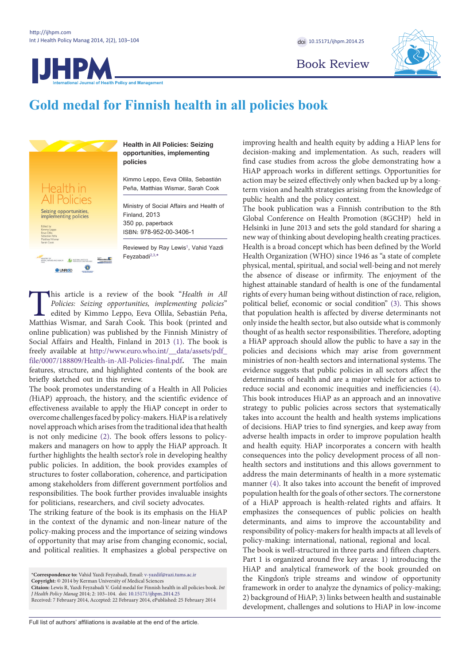HPA

doi [10.15171/ijhpm.2014.25](http://dx.doi.org/10.15171/ijhpm.2014.25)

Book Review



# **Gold medal for Finnish health in all policies book**

**Policy and Management** 



**Health in All Policies: Seizing opportunities, implementing policies**

Kimmo Leppo, Eeva Ollila, Sebastián Peña, Matthias Wismar, Sarah Cook

Ministry of Social Affairs and Health of Finland, 2013 350 pp, paperback

ISBN: 978-952-00-3406-1

Reviewed by Ray Lewis<sup>[1](#page-1-4)</sup>, Vahid Yazdi Feyzabadi<sup>[2,](#page-1-5)[3,](#page-1-6)[\\*](#page-0-0)</sup>

This article is a review of the book "*Health in All Policies: Seizing opportunities, implementing policies*" edited by Kimmo Leppo, Eeva Ollila, Sebastián Peña, Matthias Wismar, and Sarah Cook. This book (printed and *Policies: Seizing opportunities, implementing policies*" edited by Kimmo Leppo, Eeva Ollila, Sebastián Peña, Matthias Wismar, and Sarah Cook. This book (printed and online publication) was published by the Finnish Ministry of Social Affairs and Health, Finland in 2013 [\(1\)](#page-1-0). The book is freely available at [http://www.euro.who.int/\\_\\_data/assets/pdf\\_](http://www.euro.who.int/__data/assets/pdf_file/0007/188809/Health-in-All-Policies-final.pdf) [file/0007/188809/Health-in-All-Policies-final.pdf](http://www.euro.who.int/__data/assets/pdf_file/0007/188809/Health-in-All-Policies-final.pdf). The main features, structure, and highlighted contents of the book are briefly sketched out in this review.

The book promotes understanding of a Health in All Policies *(*HiAP) approach, the history, and the scientific evidence of effectiveness available to apply the HiAP concept in order to overcome challenges faced by policy-makers. HiAP is a relatively novel approach which arises from the traditional idea that health is not only medicine ([2\).](#page-1-1) The book offers lessons to policymakers and managers on how to apply the HiAP approach. It further highlights the health sector's role in developing healthy public policies. In addition, the book provides examples of structures to foster collaboration, coherence, and participation among stakeholders from different government portfolios and responsibilities. The book further provides invaluable insights for politicians, researchers, and civil society advocates.

The striking feature of the book is its emphasis on the HiAP in the context of the dynamic and non-linear nature of the policy-making process and the importance of seizing windows of opportunity that may arise from changing economic, social, and political realities. It emphasizes a global perspective on

<span id="page-0-0"></span>\***Correspondence to:** Vahid Yazdi Feyzabadi, Email: v-yazdif@razi.tums.ac.ir

**Copyright:** © 2014 by Kerman University of Medical Sciences **Citaion:** Lewis R, Yazdi Feyzabadi V. Gold medal for Finnish health in all policies book. *Int* 

*J Health Policy Manag* 2014; 2: 103–104. doi: [10.15171/ijhpm.2014.25](http://dx.doi.org/10.15171/ijhpm.2014.25) Received: 7 February 2014, Accepted: 22 February 2014, ePublished: 25 February 2014 improving health and health equity by adding a HiAP lens for decision-making and implementation. As such, readers will find case studies from across the globe demonstrating how a HiAP approach works in different settings. Opportunities for action may be seized effectively only when backed up by a longterm vision and health strategies arising from the knowledge of public health and the policy context.

The book publication was a Finnish contribution to the 8th Global Conference on Health Promotion (8GCHP) held in Helsinki in June 2013 and sets the gold standard for sharing a new way of thinking about developing health creating practices. Health is a broad concept which has been defined by the World Health Organization (WHO) since 1946 as "a state of complete physical, mental, spiritual, and social well-being and not merely the absence of disease or infirmity. The enjoyment of the highest attainable standard of health is one of the fundamental rights of every human being without distinction of race, religion, political belief, economic or social condition" [\(3](#page-1-2)). This shows that population health is affected by diverse determinants not only inside the health sector, but also outside what is commonly thought of as health sector responsibilities. Therefore, adopting a HiAP approach should allow the public to have a say in the policies and decisions which may arise from government ministries of non-health sectors and international systems. The evidence suggests that public policies in all sectors affect the determinants of health and are a major vehicle for actions to reduce social and economic inequities and inefficiencies ([4\)](#page-1-3). This book introduces HiAP as an approach and an innovative strategy to public policies across sectors that systematically takes into account the health and health systems implications of decisions. HiAP tries to find synergies, and keep away from adverse health impacts in order to improve population health and health equity. HiAP incorporates a concern with health consequences into the policy development process of all nonhealth sectors and institutions and this allows government to address the main determinants of health in a more systematic manner [\(4](#page-1-3)). It also takes into account the benefit of improved population health for the goals of other sectors. The cornerstone of a HiAP approach is health-related rights and affairs. It emphasizes the consequences of public policies on health determinants, and aims to improve the accountability and responsibility of policy-makers for health impacts at all levels of policy-making: international, national, regional and local.

The book is well-structured in three parts and fifteen chapters. Part 1 is organized around five key areas: 1) introducing the HiAP and analytical framework of the book grounded on the Kingdon's triple streams and window of opportunity framework in order to analyze the dynamics of policy-making; 2) background of HiAP; 3) links between health and sustainable development, challenges and solutions to HiAP in low-income